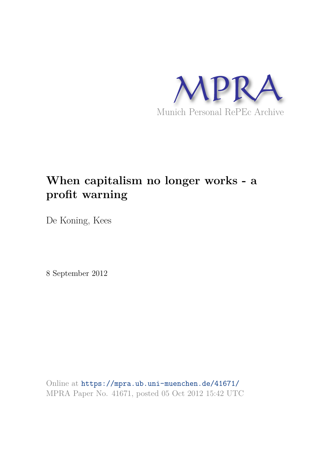

# **When capitalism no longer works - a profit warning**

De Koning, Kees

8 September 2012

Online at https://mpra.ub.uni-muenchen.de/41671/ MPRA Paper No. 41671, posted 05 Oct 2012 15:42 UTC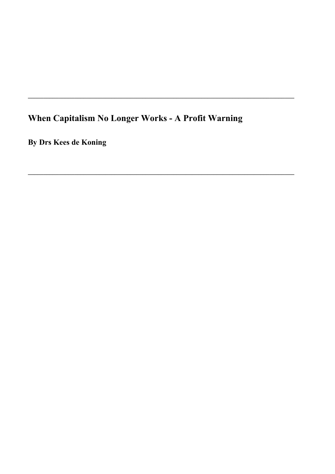When Capitalism No Longer Works - A Profit Warning

**By Drs Kees de Koning**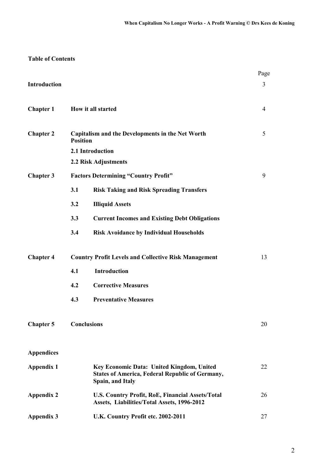# **Table of Contents**

|                              |                 |                                                                                                                         | Page           |
|------------------------------|-----------------|-------------------------------------------------------------------------------------------------------------------------|----------------|
| Introduction                 |                 |                                                                                                                         | $\overline{3}$ |
| <b>Chapter 1</b>             |                 | How it all started                                                                                                      | 4              |
| <b>Chapter 2</b>             | <b>Position</b> | Capitalism and the Developments in the Net Worth                                                                        | 5              |
|                              |                 | 2.1 Introduction                                                                                                        |                |
|                              |                 | 2.2 Risk Adjustments                                                                                                    |                |
| <b>Chapter 3</b>             |                 | <b>Factors Determining "Country Profit"</b>                                                                             | 9              |
|                              | 3.1             | <b>Risk Taking and Risk Spreading Transfers</b>                                                                         |                |
|                              | 3.2             | <b>Illiquid Assets</b>                                                                                                  |                |
|                              | 3.3             | <b>Current Incomes and Existing Debt Obligations</b>                                                                    |                |
|                              | 3.4             | <b>Risk Avoidance by Individual Households</b>                                                                          |                |
| <b>Chapter 4</b>             |                 | <b>Country Profit Levels and Collective Risk Management</b>                                                             | 13             |
|                              | 4.1             | Introduction                                                                                                            |                |
|                              | 4.2             | <b>Corrective Measures</b>                                                                                              |                |
|                              | 4.3             | <b>Preventative Measures</b>                                                                                            |                |
| <b>Chapter 5</b> Conclusions |                 |                                                                                                                         | 20             |
| <b>Appendices</b>            |                 |                                                                                                                         |                |
| <b>Appendix 1</b>            |                 | Key Economic Data: United Kingdom, United<br><b>States of America, Federal Republic of Germany,</b><br>Spain, and Italy | 22             |
| <b>Appendix 2</b>            |                 | <b>U.S. Country Profit, RoE, Financial Assets/Total</b><br>Assets, Liabilities/Total Assets, 1996-2012                  | 26             |
| <b>Appendix 3</b>            |                 | U.K. Country Profit etc. 2002-2011                                                                                      | 27             |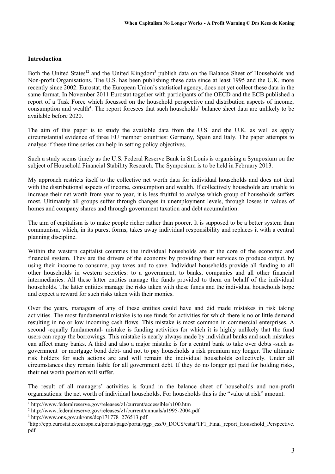#### **Introduction**

Both the United States<sup>12</sup> and the United Kingdom<sup>3</sup> publish data on the Balance Sheet of Households and Non-profit Organisations. The U.S. has been publishing these data since at least 1995 and the U.K. more recently since 2002. Eurostat, the European Union's statistical agency, does not yet collect these data in the same format. In November 2011 Eurostat together with participants of the OECD and the ECB published a report of a Task Force which focussed on the household perspective and distribution aspects of income, consumption and wealth<sup>4</sup>. The report foresees that such households' balance sheet data are unlikely to be available before 2020.

The aim of this paper is to study the available data from the U.S. and the U.K. as well as apply circumstantial evidence of three EU member countries: Germany, Spain and Italy. The paper attempts to analyse if these time series can help in setting policy objectives.

Such a study seems timely as the U.S. Federal Reserve Bank in St.Louis is organising a Symposium on the subject of Household Financial Stability Research. The Symposium is to be held in February 2013.

My approach restricts itself to the collective net worth data for individual households and does not deal with the distributional aspects of income, consumption and wealth. If collectively households are unable to increase their net worth from year to year, it is less fruitful to analyse which group of households suffers most. Ultimately all groups suffer through changes in unemployment levels, through losses in values of homes and company shares and through government taxation and debt accumulation.

The aim of capitalism is to make people richer rather than poorer. It is supposed to be a better system than communism, which, in its purest forms, takes away individual responsibility and replaces it with a central planning discipline.

Within the western capitalist countries the individual households are at the core of the economic and financial system. They are the drivers of the economy by providing their services to produce output, by using their income to consume, pay taxes and to save. Individual households provide all funding to all other households in western societies: to a government, to banks, companies and all other financial intermediaries. All these latter entities manage the funds provided to them on behalf of the individual households. The latter entities manage the risks taken with these funds and the individual households hope and expect a reward for such risks taken with their monies.

Over the years, managers of any of these entities could have and did made mistakes in risk taking activities. The most fundamental mistake is to use funds for activities for which there is no or little demand resulting in no or low incoming cash flows. This mistake is most common in commercial enterprises. A second -equally fundamental- mistake is funding activities for which it is highly unlikely that the fund users can repay the borrowings. This mistake is nearly always made by individual banks and such mistakes can affect many banks. A third and also a major mistake is for a central bank to take over debts -such as government or mortgage bond debt- and not to pay households a risk premium any longer. The ultimate risk holders for such actions are and will remain the individual households collectively. Under all circumstances they remain liable for all government debt. If they do no longer get paid for holding risks, their net worth position will suffer.

The result of all managers' activities is found in the balance sheet of households and non-profit organisations: the net worth of individual households. For households this is the "value at risk" amount.

<sup>&</sup>lt;sup>1</sup> http://www.federalreserve.gov/releases/z1/current/accessible/b100.htm

<sup>&</sup>lt;sup>2</sup> http://www.federalreserve.gov/releases/z1/current/annuals/a1995-2004.pdf

<sup>3</sup> http://www.ons.gov.uk/ons/dcp171778\_276513.pdf

<sup>4</sup> http://epp.eurostat.ec.europa.eu/portal/page/portal/pgp\_ess/0\_DOCS/estat/TF1\_Final\_report\_Household\_Perspective. pdf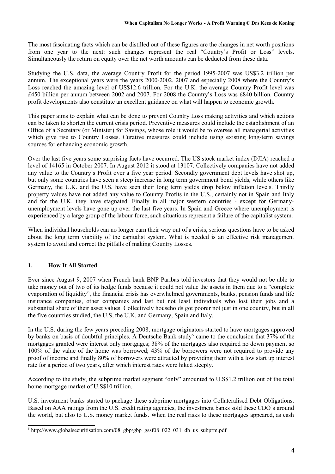The most fascinating facts which can be distilled out of these figures are the changes in net worth positions from one year to the next: such changes represent the real "Country's Profit or Loss" levels. Simultaneously the return on equity over the net worth amounts can be deducted from these data.

Studying the U.S. data, the average Country Profit for the period 1995-2007 was US\$3.2 trillion per annum. The exceptional years were the years 2000-2002, 2007 and especially 2008 where the Country's Loss reached the amazing level of US\$12.6 trillion. For the U.K. the average Country Profit level was £450 billion per annum between 2002 and 2007. For 2008 the Country's Loss was £840 billion. Country profit developments also constitute an excellent guidance on what will happen to economic growth.

This paper aims to explain what can be done to prevent Country Loss making activities and which actions can be taken to shorten the current crisis period. Preventive measures could include the establishment of an Office of a Secretary (or Minister) for Savings, whose role it would be to oversee all managerial activities which give rise to Country Losses. Curative measures could include using existing long-term savings sources for enhancing economic growth.

Over the last five years some surprising facts have occurred. The US stock market index (DJIA) reached a level of 14165 in October 2007. In August 2012 it stood at 13107. Collectively companies have not added any value to the Country's Profit over a five year period. Secondly government debt levels have shot up, but only some countries have seen a steep increase in long term government bond yields, while others like Germany, the U.K. and the U.S. have seen their long term yields drop below inflation levels. Thirdly property values have not added any value to Country Profits in the U.S., certainly not in Spain and Italy and for the U.K. they have stagnated. Finally in all major western countries - except for Germanyunemployment levels have gone up over the last five years. In Spain and Greece where unemployment is experienced by a large group of the labour force, such situations represent a failure of the capitalist system.

When individual households can no longer earn their way out of a crisis, serious questions have to be asked about the long term viability of the capitalist system. What is needed is an effective risk management system to avoid and correct the pitfalls of making Country Losses.

## **1. How It All Started**

Ever since August 9, 2007 when French bank BNP Paribas told investors that they would not be able to take money out of two of its hedge funds because it could not value the assets in them due to a "complete evaporation of liquidity", the financial crisis has overwhelmed governments, banks, pension funds and life insurance companies, other companies and last but not least individuals who lost their jobs and a substantial share of their asset values. Collectively households got poorer not just in one country, but in all the five countries studied, the U.S, the U.K. and Germany, Spain and Italy.

In the U.S. during the few years preceding 2008, mortgage originators started to have mortgages approved by banks on basis of doubtful principles. A Deutsche Bank study<sup>5</sup> came to the conclusion that 37% of the mortgages granted were interest only mortgages; 38% of the mortgages also required no down payment so 100% of the value of the home was borrowed; 43% of the borrowers were not required to provide any proof of income and finally 80% of borrowers were attracted by providing them with a low start up interest rate for a period of two years, after which interest rates were hiked steeply.

According to the study, the subprime market segment "only" amounted to U.S\$1.2 trillion out of the total home mortgage market of U.S\$10 trillion.

U.S. investment banks started to package these subprime mortgages into Collateralised Debt Obligations. Based on AAA ratings from the U.S. credit rating agencies, the investment banks sold these CDO's around the world, but also to U.S. money market funds. When the real risks to these mortgages appeared, as cash

<sup>&</sup>lt;sup>5</sup> http://www.globalsecuritisation.com/08\_gbp/gbp\_gssf08\_022\_031\_db\_us\_subprm.pdf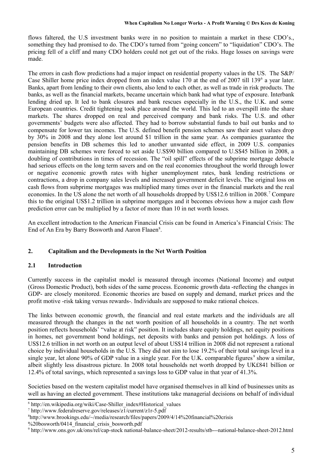flows faltered, the U.S investment banks were in no position to maintain a market in these CDO's., something they had promised to do. The CDO's turned from "going concern" to "liquidation" CDO's. The pricing fell of a cliff and many CDO holders could not get out of the risks. Huge losses on savings were made.

The errors in cash flow predictions had a major impact on residential property values in the US. The S&P/ Case Shiller home price index dropped from an index value 170 at the end of 2007 till 139<sup>6</sup> a year later. Banks, apart from lending to their own clients, also lend to each other, as well as trade in risk products. The banks, as well as the financial markets, became uncertain which bank had what type of exposure. Interbank lending dried up. It led to bank closures and bank rescues especially in the U.S., the U.K. and some European countries. Credit tightening took place around the world. This led to an overspill into the share markets. The shares dropped on real and perceived company and bank risks. The U.S. and other governments' budgets were also affected. They had to borrow substantial funds to bail out banks and to compensate for lower tax incomes. The U.S. defined benefit pension schemes saw their asset values drop by 30% in 2008 and they alone lost around \$1 trillion in the same year. As companies guarantee the pension benefits in DB schemes this led to another unwanted side effect, in 2009 U.S. companies maintaining DB schemes were forced to set aside U.S\$90 billion compared to U.S\$45 billion in 2008, a doubling of contributions in times of recession. The "oil spill" effects of the subprime mortgage debacle had serious effects on the long term savers and on the real economies throughout the world through lower or negative economic growth rates with higher unemployment rates, bank lending restrictions or contractions, a drop in company sales levels and increased government deficit levels. The original loss on cash flows from subprime mortgages was multiplied many times over in the financial markets and the real economies. In the US alone the net worth of all households dropped by US\$12.6 trillion in 2008.<sup>7</sup> Compare this to the original US\$1.2 trillion in subprime mortgages and it becomes obvious how a major cash flow prediction error can be multiplied by a factor of more than 10 in net worth losses.

An excellent introduction to the American Financial Crisis can be found in America's Financial Crisis: The End of An Era by Barry Bosworth and Aaron Flaaen<sup>8</sup>.

## **2. Capitalism and the Developments in the Net Worth Position**

#### **2.1 Introduction**

Currently success in the capitalist model is measured through incomes (National Income) and output (Gross Domestic Product), both sides of the same process. Economic growth data -reflecting the changes in GDP- are closely monitored. Economic theories are based on supply and demand, market prices and the profit motive -risk taking versus rewards-. Individuals are supposed to make rational choices.

The links between economic growth, the financial and real estate markets and the individuals are all measured through the changes in the net worth position of all households in a country. The net worth position reflects households' "value at risk" position. It includes share equity holdings, net equity positions in homes, net government bond holdings, net deposits with banks and pension pot holdings. A loss of US\$12.6 trillion in net worth on an output level of about US\$14 trillion in 2008 did not represent a rational choice by individual households in the U.S. They did not aim to lose 19.2% of their total savings level in a single year, let alone 90% of GDP value in a single year. For the U.K. comparable figures<sup>9</sup> show a similar, albeit slightly less disastrous picture. In 2008 total households net worth dropped by UK£841 billion or 12.4% of total savings, which represented a savings loss to GDP value in that year of 41.3%.

Societies based on the western capitalist model have organised themselves in all kind of businesses units as well as having an elected government. These institutions take managerial decisions on behalf of individual

%20bosworth/0414\_financial\_crisis\_bosworth.pdf

<sup>&</sup>lt;sup>6</sup> http://en.wikipedia.org/wiki/Case-Shiller\_index#Historical\_values

<sup>7</sup> http://www.federalreserve.gov/releases/z1/current/z1r-5.pdf

<sup>8</sup> http://www.brookings.edu/~/media/research/files/papers/2009/4/14%20financial%20crisis

<sup>9</sup> http://www.ons.gov.uk/ons/rel/cap-stock national-balance-sheet/2012-results/stb---national-balance-sheet-2012.html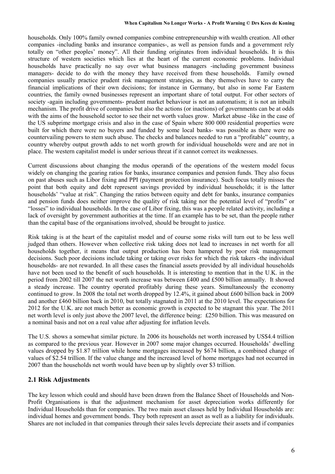households. Only 100% family owned companies combine entrepreneurship with wealth creation. All other companies -including banks and insurance companies-, as well as pension funds and a government rely totally on "other peoples' money". All their funding originates from individual households. It is this structure of western societies which lies at the heart of the current economic problems. Individual households have practically no say over what business managers -including government business managers- decide to do with the money they have received from these households. Family owned companies usually practice prudent risk management strategies, as they themselves have to carry the financial implications of their own decisions; for instance in Germany, but also in some Far Eastern countries, the family owned businesses represent an important share of total output. For other sectors of society -again including governments- prudent market behaviour is not an automatism; it is not an inbuilt mechanism. The profit drive of companies but also the actions (or inactions) of governments can be at odds with the aims of the household sector to see their net worth values grow. Market abuse -like in the case of the US subprime mortgage crisis and also in the case of Spain where 800 000 residential properties were built for which there were no buyers and funded by some local banks- was possible as there were no countervailing powers to stem such abuse. The checks and balances needed to run a "profitable" country, a country whereby output growth adds to net worth growth for individual households were and are not in place. The western capitalist model is under serious threat if it cannot correct its weaknesses.

Current discussions about changing the modus operandi of the operations of the western model focus widely on changing the gearing ratios for banks, insurance companies and pension funds. They also focus on past abuses such as Libor fixing and PPI (payment protection insurance). Such focus totally misses the point that both equity and debt represent savings provided by individual households; it is the latter households' "value at risk". Changing the ratios between equity and debt for banks, insurance companies and pension funds does neither improve the quality of risk taking nor the potential level of "profits" or "losses" to individual households. In the case of Libor fixing, this was a people related activity, including a lack of oversight by government authorities at the time. If an example has to be set, than the people rather than the capital base of the organisations involved, should be brought to justice.

Risk taking is at the heart of the capitalist model and of course some risks will turn out to be less well judged than others. However when collective risk taking does not lead to increases in net worth for all households together, it means that output production has been hampered by poor risk management decisions. Such poor decisions include taking or taking over risks for which the risk takers -the individual households- are not rewarded. In all these cases the financial assets provided by all individual households have not been used to the benefit of such households. It is interesting to mention that in the U.K. in the period from 2002 till 2007 the net worth increase was between £400 and £500 billion annually. It showed a steady increase. The country operated profitably during these years. Simultaneously the economy continued to grow. In 2008 the total net worth dropped by 12.4%, it gained about £600 billion back in 2009 and another £460 billion back in 2010, but totally stagnated in 2011 at the 2010 level. The expectations for 2012 for the U.K. are not much better as economic growth is expected to be stagnant this year. The 2011 net worth level is only just above the 2007 level, the difference being: £250 billion. This was measured on a nominal basis and not on a real value after adjusting for inflation levels.

The U.S. shows a somewhat similar picture. In 2006 its households net worth increased by US\$4.4 trillion as compared to the previous year. However in 2007 some major changes occurred. Households' dwelling values dropped by \$1.87 trillion while home mortgages increased by \$674 billion, a combined change of values of \$2.54 trillion. If the value change and the increased level of home mortgages had not occurred in 2007 than the households net worth would have been up by slightly over \$3 trillion.

# **2.1 Risk Adjustments**

The key lesson which could and should have been drawn from the Balance Sheet of Households and Non-Profit Organisations is that the adjustment mechanism for asset depreciation works differently for Individual Households than for companies. The two main asset classes held by Individual Households are: individual homes and government bonds. They both represent an asset as well as a liability for individuals. Shares are not included in that companies through their sales levels depreciate their assets and if companies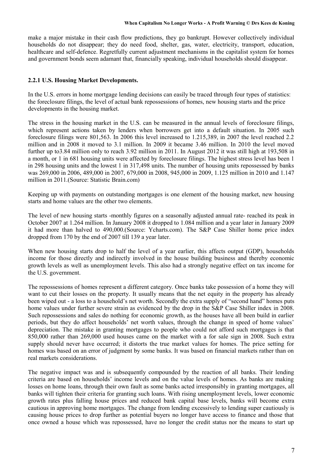make a major mistake in their cash flow predictions, they go bankrupt. However collectively individual households do not disappear; they do need food, shelter, gas, water, electricity, transport, education, healthcare and self-defence. Regretfully current adjustment mechanisms in the capitalist system for homes and government bonds seem adamant that, financially speaking, individual households should disappear.

### **2.2.1 U.S. Housing Market Developments.**

In the U.S. errors in home mortgage lending decisions can easily be traced through four types of statistics: the foreclosure filings, the level of actual bank repossessions of homes, new housing starts and the price developments in the housing market.

The stress in the housing market in the U.S. can be measured in the annual levels of foreclosure filings, which represent actions taken by lenders when borrowers get into a default situation. In 2005 such foreclosure filings were 801,563. In 2006 this level increased to 1.215,389, in 2007 the level reached 2.2 million and in 2008 it moved to 3.1 million. In 2009 it became 3.46 million. In 2010 the level moved further up to3.84 million only to reach 3.92 million in 2011. In August 2012 it was still high at 193,508 in a month, or 1 in 681 housing units were affected by foreclosure filings. The highest stress level has been 1 in 298 housing units and the lowest 1 in 317,498 units. The number of housing units repossessed by banks was 269,000 in 2006, 489,000 in 2007, 679,000 in 2008, 945,000 in 2009, 1.125 million in 2010 and 1.147 million in 2011.(Source: Statistic Brain.com)

Keeping up with payments on outstanding mortgages is one element of the housing market, new housing starts and home values are the other two elements.

The level of new housing starts -monthly figures on a seasonally adjusted annual rate- reached its peak in October 2007 at 1.264 million. In January 2008 it dropped to 1.084 million and a year later in January 2009 it had more than halved to 490,000.(Source: Ycharts.com). The S&P Case Shiller home price index dropped from 170 by the end of 2007 till 139 a year later.

When new housing starts drop to half the level of a year earlier, this affects output (GDP), households income for those directly and indirectly involved in the house building business and thereby economic growth levels as well as unemployment levels. This also had a strongly negative effect on tax income for the U.S. government.

The repossessions of homes represent a different category. Once banks take possession of a home they will want to cut their losses on the property. It usually means that the net equity in the property has already been wiped out - a loss to a household's net worth. Secondly the extra supply of "second hand" homes puts home values under further severe strain as evidenced by the drop in the S&P Case Shiller index in 2008. Such repossessions and sales do nothing for economic growth, as the houses have all been build in earlier periods, but they do affect households' net worth values, through the change in speed of home values' depreciation. The mistake in granting mortgages to people who could not afford such mortgages is that 850,000 rather than 269,000 used houses came on the market with a for sale sign in 2008. Such extra supply should never have occurred; it distorts the true market values for homes. The price setting for homes was based on an error of judgment by some banks. It was based on financial markets rather than on real markets considerations.

The negative impact was and is subsequently compounded by the reaction of all banks. Their lending criteria are based on households' income levels and on the value levels of homes. As banks are making losses on home loans, through their own fault as some banks acted irresponsibly in granting mortgages, all banks will tighten their criteria for granting such loans. With rising unemployment levels, lower economic growth rates plus falling house prices and reduced bank capital base levels, banks will become extra cautious in approving home mortgages. The change from lending excessively to lending super cautiously is causing house prices to drop further as potential buyers no longer have access to finance and those that once owned a house which was repossessed, have no longer the credit status nor the means to start up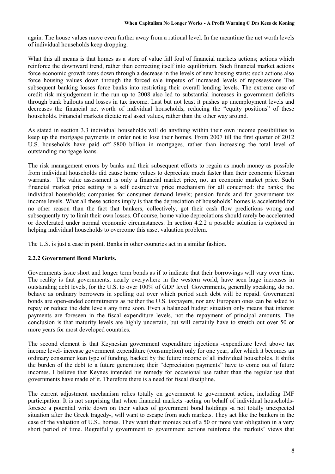again. The house values move even further away from a rational level. In the meantime the net worth levels of individual households keep dropping.

What this all means is that homes as a store of value fall foul of financial markets actions; actions which reinforce the downward trend, rather than correcting itself into equilibrium. Such financial market actions force economic growth rates down through a decrease in the levels of new housing starts; such actions also force housing values down through the forced sale impetus of increased levels of repossessions The subsequent banking losses force banks into restricting their overall lending levels. The extreme case of credit risk misjudgement in the run up to 2008 also led to substantial increases in government deficits through bank bailouts and losses in tax income. Last but not least it pushes up unemployment levels and decreases the financial net worth of individual households, reducing the "equity positions" of these households. Financial markets dictate real asset values, rather than the other way around.

As stated in section 3.3 individual households will do anything within their own income possibilities to keep up the mortgage payments in order not to lose their homes. From 2007 till the first quarter of 2012 U.S. households have paid off \$800 billion in mortgages, rather than increasing the total level of outstanding mortgage loans.

The risk management errors by banks and their subsequent efforts to regain as much money as possible from individual households did cause home values to depreciate much faster than their economic lifespan warrants. The value assessment is only a financial market price, not an economic market price. Such financial market price setting is a self destructive price mechanism for all concerned: the banks; the individual households; companies for consumer demand levels; pension funds and for government tax income levels. What all these actions imply is that the depreciation of households' homes is accelerated for no other reason than the fact that bankers, collectively, got their cash flow predictions wrong and subsequently try to limit their own losses. Of course, home value depreciations should rarely be accelerated or decelerated under normal economic circumstances. In section 4.2.2 a possible solution is explored in helping individual households to overcome this asset valuation problem.

The U.S. is just a case in point. Banks in other countries act in a similar fashion.

#### **2.2.2 Government Bond Markets.**

Governments issue short and longer term bonds as if to indicate that their borrowings will vary over time. The reality is that governments, nearly everywhere in the western world, have seen huge increases in outstanding debt levels, for the U.S. to over 100% of GDP level. Governments, generally speaking, do not behave as ordinary borrowers in spelling out over which period such debt will be repaid. Government bonds are open-ended commitments as neither the U.S. taxpayers, nor any European ones can be asked to repay or reduce the debt levels any time soon. Even a balanced budget situation only means that interest payments are foreseen in the fiscal expenditure levels, not the repayment of principal amounts. The conclusion is that maturity levels are highly uncertain, but will certainly have to stretch out over 50 or more years for most developed countries.

The second element is that Keynesian government expenditure injections -expenditure level above tax income level- increase government expenditure (consumption) only for one year, after which it becomes an ordinary consumer loan type of funding, backed by the future income of all individual households. It shifts the burden of the debt to a future generation; their "depreciation payments" have to come out of future incomes. I believe that Keynes intended his remedy for occasional use rather than the regular use that governments have made of it. Therefore there is a need for fiscal discipline.

The current adjustment mechanism relies totally on government to government action, including IMF participation. It is not surprising that when financial markets -acting on behalf of individual householdsforesee a potential write down on their values of government bond holdings -a not totally unexpected situation after the Greek tragedy-, will want to escape from such markets. They act like the bankers in the case of the valuation of U.S., homes. They want their monies out of a 50 or more year obligation in a very short period of time. Regretfully government to government actions reinforce the markets' views that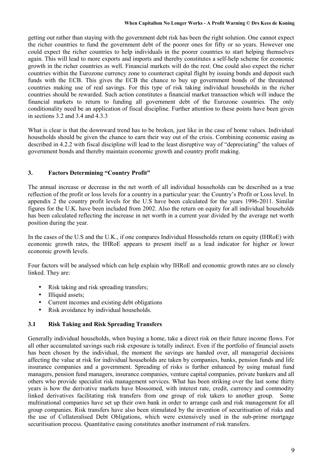getting out rather than staying with the government debt risk has been the right solution. One cannot expect the richer countries to fund the government debt of the poorer ones for fifty or so years. However one could expect the richer countries to help individuals in the poorer countries to start helping themselves again. This will lead to more exports and imports and thereby constitutes a self-help scheme for economic growth in the richer countries as well. Financial markets will do the rest. One could also expect the richer countries within the Eurozone currency zone to counteract capital flight by issuing bonds and deposit such funds with the ECB. This gives the ECB the chance to buy up government bonds of the threatened countries making use of real savings. For this type of risk taking individual households in the richer countries should be rewarded. Such action constitutes a financial market transaction which will induce the financial markets to return to funding all government debt of the Eurozone countries. The only conditionality need be an application of fiscal discipline. Further attention to these points have been given in sections  $3.2$  and  $3.4$  and  $4.3.3$ 

What is clear is that the downward trend has to be broken, just like in the case of home values. Individual households should be given the chance to earn their way out of the crisis. Combining economic easing as described in 4.2.2 with fiscal discipline will lead to the least disruptive way of "depreciating" the values of government bonds and thereby maintain economic growth and country profit making.

## **3. Factors Determining "Country Profit"**

The annual increase or decrease in the net worth of all individual households can be described as a true reflection of the profit or loss levels for a country in a particular year: the Country's Profit or Loss level. In appendix 2 the country profit levels for the U.S have been calculated for the years 1996-2011. Similar figures for the U.K. have been included from 2002. Also the return on equity for all individual households has been calculated reflecting the increase in net worth in a current year divided by the average net worth position during the year.

In the cases of the U.S and the U.K., if one compares Individual Households return on equity (IHRoE) with economic growth rates, the IHRoE appears to present itself as a lead indicator for higher or lower economic growth levels.

Four factors will be analysed which can help explain why IHRoE and economic growth rates are so closely linked. They are:

- Risk taking and risk spreading transfers:
- Illiquid assets:
- Current incomes and existing debt obligations
- Risk avoidance by individual households.

#### **3.1 Risk Taking and Risk Spreading Transfers**

Generally individual households, when buying a home, take a direct risk on their future income flows. For all other accumulated savings such risk exposure is totally indirect. Even if the portfolio of financial assets has been chosen by the individual, the moment the savings are handed over, all managerial decisions affecting the value at risk for individual households are taken by companies, banks, pension funds and life insurance companies and a government. Spreading of risks is further enhanced by using mutual fund managers, pension fund managers, insurance companies, venture capital companies, private bankers and all others who provide specialist risk management services. What has been striking over the last some thirty years is how the derivative markets have blossomed, with interest rate, credit, currency and commodity linked derivatives facilitating risk transfers from one group of risk takers to another group. Some multinational companies have set up their own bank in order to arrange cash and risk management for all group companies. Risk transfers have also been stimulated by the invention of securitisation of risks and the use of Collateralised Debt Obligations, which were extensively used in the sub-prime mortgage securitisation process. Quantitative easing constitutes another instrument of risk transfers.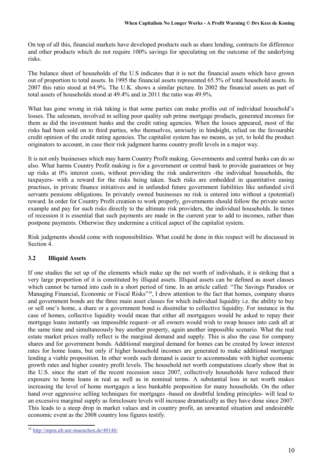On top of all this, financial markets have developed products such as share lending, contracts for difference and other products which do not require 100% savings for speculating on the outcome of the underlying risks.

The balance sheet of households of the U.S indicates that it is not the financial assets which have grown out of proportion to total assets. In 1995 the financial assets represented 65.5% of total household assets. In 2007 this ratio stood at 64.9%. The U.K. shows a similar picture. In 2002 the financial assets as part of total assets of households stood at 49.4% and in 2011 the ratio was 49.9%.

What has gone wrong in risk taking is that some parties can make profits out of individual household's losses. The salesmen, involved in selling poor quality sub prime mortgage products, generated incomes for them as did the investment banks and the credit rating agencies. When the losses appeared, most of the risks had been sold on to third parties, who themselves, unwisely in hindsight, relied on the favourable credit opinion of the credit rating agencies. The capitalist system has no means, as yet, to hold the product originators to account, in case their risk judgment harms country profit levels in a major way.

It is not only businesses which may harm Country Profit making. Governments and central banks can do so also. What harms Country Profit making is for a government or central bank to provide guarantees or buy up risks at 0% interest costs, without providing the risk underwriters -the individual households, the taxpayers- with a reward for the risks being taken. Such risks are embedded in quantitative easing practises, in private finance initiatives and in unfunded future government liabilities like unfunded civil servants pensions obligations. In privately owned businesses no risk is entered into without a (potential) reward. In order for Country Profit creation to work properly, governments should follow the private sector example and pay for such risks directly to the ultimate risk providers, the individual households. In times of recession it is essential that such payments are made in the current year to add to incomes, rather than postpone payments. Otherwise they undermine a critical aspect of the capitalist system.

Risk judgments should come with responsibilities. What could be done in this respect will be discussed in Section 4.

## **3.2 Illiquid Assets**

If one studies the set up of the elements which make up the net worth of individuals, it is striking that a very large proportion of it is constituted by illiquid assets. Illiquid assets can be defined as asset classes which cannot be turned into cash in a short period of time. In an article called: "The Savings Paradox or Managing Financial, Economic or Fiscal Risks"<sup>10</sup>, I drew attention to the fact that homes, company shares and government bonds are the three main asset classes for which individual liquidity i.e. the ability to buy or sell one's home, a share or a government bond is dissimilar to collective liquidity. For instance in the case of homes, collective liquidity would mean that either all mortgagees would be asked to repay their mortgage loans instantly -an impossible request- or all owners would wish to swap houses into cash all at the same time and simultaneously buy another property, again another impossible scenario. What the real estate market prices really reflect is the marginal demand and supply. This is also the case for company shares and for government bonds. Additional marginal demand for homes can be created by lower interest rates for home loans, but only if higher household incomes are generated to make additional mortgage lending a viable proposition. In other words such demand is easier to accommodate with higher economic growth rates and higher country profit levels. The household net worth computations clearly show that in the U.S. since the start of the recent recession since 2007, collectively households have reduced their exposure to home loans in real as well as in nominal terms. A substantial loss in net worth makes increasing the level of home mortgages a less bankable proposition for many households. On the other hand over aggressive selling techniques for mortgages -based on doubtful lending principles- will lead to an excessive marginal supply as foreclosure levels will increase dramatically as they have done since 2007. This leads to a steep drop in market values and in country profit, an unwanted situation and undesirable economic event as the 2008 country loss figures testify.

<sup>10</sup> http://mpra.ub.uni-muenchen.de/40146/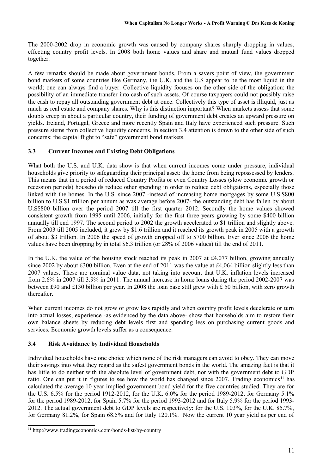The 2000-2002 drop in economic growth was caused by company shares sharply dropping in values, effecting country profit levels. In 2008 both home values and share and mutual fund values dropped together.

A few remarks should be made about government bonds. From a savers point of view, the government bond markets of some countries like Germany, the U.K. and the U.S appear to be the most liquid in the world; one can always find a buyer. Collective liquidity focuses on the other side of the obligation: the possibility of an immediate transfer into cash of such assets. Of course taxpayers could not possibly raise the cash to repay all outstanding government debt at once. Collectively this type of asset is illiquid, just as much as real estate and company shares. Why is this distinction important? When markets assess that some doubts creep in about a particular country, their funding of government debt creates an upward pressure on yields. Ireland, Portugal, Greece and more recently Spain and Italy have experienced such pressure. Such pressure stems from collective liquidity concerns. In section 3.4 attention is drawn to the other side of such concerns: the capital flight to "safe" government bond markets.

## **3.3 Current Incomes and Existing Debt Obligations**

What both the U.S. and U.K. data show is that when current incomes come under pressure, individual households give priority to safeguarding their principal asset: the home from being repossessed by lenders. This means that in a period of reduced Country Profits or even Country Losses (slow economic growth or recession periods) households reduce other spending in order to reduce debt obligations, especially those linked with the homes. In the U.S. since 2007 -instead of increasing home mortgages by some U.S.\$800 billion to U.S.\$1 trillion per annum as was average before 2007- the outstanding debt has fallen by about U.S\$800 billion over the period 2007 till the first quarter 2012. Secondly the home values showed consistent growth from 1995 until 2006, initially for the first three years growing by some \$400 billion annually till end 1997. The second period to 2002 the growth accelerated to \$1 trillion and slightly above. From 2003 till 2005 included, it grew by \$1.6 trillion and it reached its growth peak in 2005 with a growth of about \$3 trillion. In 2006 the speed of growth dropped off to \$700 billion. Ever since 2006 the home values have been dropping by in total \$6.3 trillion (or 28% of 2006 values) till the end of 2011.

In the U.K. the value of the housing stock reached its peak in 2007 at £4,077 billion, growing annually since 2002 by about £300 billion. Even at the end of 2011 was the value at £4,064 billion slightly less than 2007 values. These are nominal value data, not taking into account that U.K. inflation levels increased from 2.6% in 2007 till 3.9% in 2011. The annual increase in home loans during the period 2002-2007 was between £90 and £130 billion per year. In 2008 the loan base still grew with £ 50 billion, with zero growth thereafter.

When current incomes do not grow or grow less rapidly and when country profit levels decelerate or turn into actual losses, experience -as evidenced by the data above- show that households aim to restore their own balance sheets by reducing debt levels first and spending less on purchasing current goods and services. Economic growth levels suffer as a consequence.

## **3.4 Risk Avoidance by Individual Households**

Individual households have one choice which none of the risk managers can avoid to obey. They can move their savings into what they regard as the safest government bonds in the world. The amazing fact is that it has little to do neither with the absolute level of government debt, nor with the government debt to GDP ratio. One can put it in figures to see how the world has changed since 2007. Trading economics<sup>11</sup> has calculated the average 10 year implied government bond yield for the five countries studied. They are for the U.S. 6.5% for the period 1912-2012, for the U.K. 6.0% for the period 1989-2012, for Germany 5.1% for the period 1989-2012, for Spain 5.7% for the period 1993-2012 and for Italy 5.9% for the period 1993- 2012. The actual government debt to GDP levels are respectively: for the U.S. 103%, for the U.K. 85.7%, for Germany 81.2%, for Spain 68.5% and for Italy 120.1%. Now the current 10 year yield as per end of

<sup>11</sup> http://www.tradingeconomics.com/bonds-list-by-country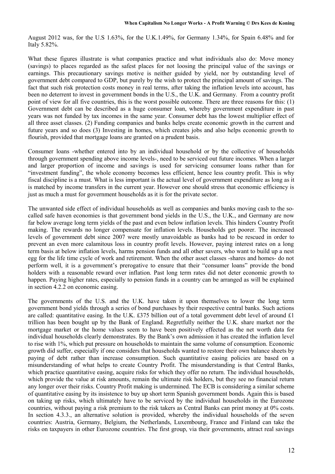August 2012 was, for the U.S 1.63%, for the U.K.1.49%, for Germany 1.34%, for Spain 6.48% and for Italy 5.82%.

What these figures illustrate is what companies practice and what individuals also do: Move money (savings) to places regarded as the safest places for not loosing the principal value of the savings or earnings. This precautionary savings motive is neither guided by yield, nor by outstanding level of government debt compared to GDP, but purely by the wish to protect the principal amount of savings. The fact that such risk protection costs money in real terms, after taking the inflation levels into account, has been no deterrent to invest in government bonds in the U.S., the U.K. and Germany. From a country profit point of view for all five countries, this is the worst possible outcome. There are three reasons for this: (1) Government debt can be described as a huge consumer loan, whereby government expenditure in past years was not funded by tax incomes in the same year. Consumer debt has the lowest multiplier effect of all three asset classes. (2) Funding companies and banks helps create economic growth in the current and future years and so does (3) Investing in homes, which creates jobs and also helps economic growth to flourish, provided that mortgage loans are granted on a prudent basis.

Consumer loans -whether entered into by an individual household or by the collective of households through government spending above income levels-, need to be serviced out future incomes. When a larger and larger proportion of income and savings is used for servicing consumer loans rather than for "investment funding", the whole economy becomes less efficient, hence less country profit. This is why fiscal discipline is a must. What is less important is the actual level of government expenditure as long as it is matched by income transfers in the current year. However one should stress that economic efficiency is just as much a must for government households as it is for the private sector.

The unwanted side effect of individual households as well as companies and banks moving cash to the socalled safe haven economies is that government bond yields in the U.S., the U.K., and Germany are now far below average long term yields of the past and even below inflation levels. This hinders Country Profit making. The rewards no longer compensate for inflation levels. Households get poorer. The increased levels of government debt since 2007 were mostly unavoidable as banks had to be rescued in order to prevent an even more calamitous loss in country profit levels. However, paying interest rates on a long term basis at below inflation levels, harms pension funds and all other savers, who want to build up a nest egg for the life time cycle of work and retirement. When the other asset classes -shares and homes- do not perform well, it is a government's prerogative to ensure that their "consumer loans" provide the bond holders with a reasonable reward over inflation. Past long term rates did not deter economic growth to happen. Paying higher rates, especially to pension funds in a country can be arranged as will be explained in section 4.2.2 on economic easing.

The governments of the U.S. and the U.K. have taken it upon themselves to lower the long term government bond yields through a series of bond purchases by their respective central banks. Such actions are called: quantitative easing. In the U.K. £375 billion out of a total government debt level of around £1 trillion has been bought up by the Bank of England. Regretfully neither the U.K. share market nor the mortgage market or the home values seem to have been positively effected as the net worth data for individual households clearly demonstrates. By the Bank's own admission it has created the inflation level to rise with 1%, which put pressure on households to maintain the same volume of consumption. Economic growth did suffer, especially if one considers that households wanted to restore their own balance sheets by paying of debt rather than increase consumption. Such quantitative easing policies are based on a misunderstanding of what helps to create Country Profit. The misunderstanding is that Central Banks, which practice quantitative easing, acquire risks for which they offer no return. The individual households, which provide the value at risk amounts, remain the ultimate risk holders, but they see no financial return any longer over their risks. Country Profit making is undermined. The ECB is considering a similar scheme of quantitative easing by its insistence to buy up short term Spanish government bonds. Again this is based on taking up risks, which ultimately have to be serviced by the individual households in the Eurozone countries, without paying a risk premium to the risk takers as Central Banks can print money at 0% costs. In section 4.3.3., an alternative solution is provided, whereby the individual households of the seven countries: Austria, Germany, Belgium, the Netherlands, Luxembourg, France and Finland can take the risks on taxpayers in other Eurozone countries. The first group, via their governments, attract real savings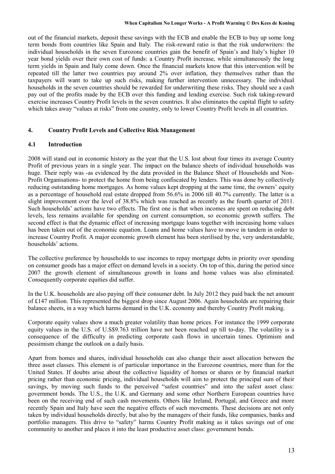out of the financial markets, deposit these savings with the ECB and enable the ECB to buy up some long term bonds from countries like Spain and Italy. The risk-reward ratio is that the risk underwriters: the individual households in the seven Eurozone countries gain the benefit of Spain's and Italy's higher 10 year bond yields over their own cost of funds: a Country Profit increase, while simultaneously the long term yields in Spain and Italy come down. Once the financial markets know that this intervention will be repeated till the latter two countries pay around 2% over inflation, they themselves rather than the taxpayers will want to take up such risks, making further intervention unnecessary. The individual households in the seven countries should be rewarded for underwriting these risks. They should see a cash pay out of the profits made by the ECB over this funding and lending exercise. Such risk taking-reward exercise increases Country Profit levels in the seven countries. It also eliminates the capital flight to safety which takes away "values at risks" from one country, only to lower Country Profit levels in all countries.

## **4. Country Profit Levels and Collective Risk Management**

#### **4.1 Introduction**

2008 will stand out in economic history as the year that the U.S. lost about four times its average Country Profit of previous years in a single year. The impact on the balance sheets of individual households was huge. Their reply was -as evidenced by the data provided in the Balance Sheet of Households and Non-Profit Organisations- to protect the home from being confiscated by lenders. This was done by collectively reducing outstanding home mortgages. As home values kept dropping at the same time, the owners' equity as a percentage of household real estate dropped from 56.6% in 2006 till 40.7% currently. The latter is a slight improvement over the level of 38.8% which was reached as recently as the fourth quarter of 2011. Such households' actions have two effects. The first one is that when incomes are spent on reducing debt levels, less remains available for spending on current consumption, so economic growth suffers. The second effect is that the dynamic effect of increasing mortgage loans together with increasing home values has been taken out of the economic equation. Loans and home values have to move in tandem in order to increase Country Profit. A major economic growth element has been sterilised by the, very understandable, households' actions.

The collective preference by households to use incomes to repay mortgage debts in priority over spending on consumer goods has a major effect on demand levels in a society. On top of this, during the period since 2007 the growth element of simultaneous growth in loans and home values was also eliminated. Consequently corporate equities did suffer.

In the U.K. households are also paying off their consumer debt. In July 2012 they paid back the net amount of £147 million. This represented the biggest drop since August 2006. Again households are repairing their balance sheets, in a way which harms demand in the U.K. economy and thereby Country Profit making.

Corporate equity values show a much greater volatility than home prices. For instance the 1999 corporate equity values in the U.S. of U.S\$9.763 trillion have not been reached up till to-day. The volatility is a consequence of the difficulty in predicting corporate cash flows in uncertain times. Optimism and pessimism change the outlook on a daily basis.

Apart from homes and shares, individual households can also change their asset allocation between the three asset classes. This element is of particular importance in the Eurozone countries, more than for the United States. If doubts arise about the collective liquidity of homes or shares or by financial market pricing rather than economic pricing, individual households will aim to protect the principal sum of their savings, by moving such funds to the perceived "safest countries" and into the safest asset class: government bonds. The U.S., the U.K. and Germany and some other Northern European countries have been on the receiving end of such cash movements. Others like Ireland, Portugal, and Greece and more recently Spain and Italy have seen the negative effects of such movements. These decisions are not only taken by individual households directly, but also by the managers of their funds, like companies, banks and portfolio managers. This drive to "safety" harms Country Profit making as it takes savings out of one community to another and places it into the least productive asset class: government bonds.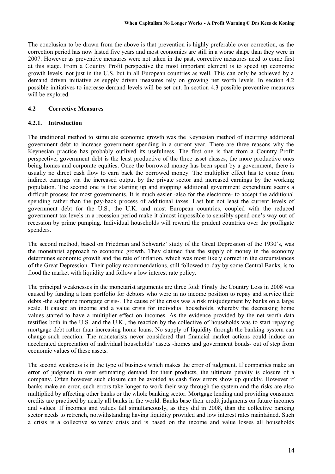The conclusion to be drawn from the above is that prevention is highly preferable over correction, as the correction period has now lasted five years and most economies are still in a worse shape than they were in 2007. However as preventive measures were not taken in the past, corrective measures need to come first at this stage. From a Country Profit perspective the most important element is to speed up economic growth levels, not just in the U.S. but in all European countries as well. This can only be achieved by a demand driven initiative as supply driven measures rely on growing net worth levels. In section 4.2 possible initiatives to increase demand levels will be set out. In section 4.3 possible preventive measures will be explored.

## **4.2 Corrective Measures**

## **4.2.1. Introduction**

The traditional method to stimulate economic growth was the Keynesian method of incurring additional government debt to increase government spending in a current year. There are three reasons why the Keynesian practice has probably outlived its usefulness. The first one is that from a Country Profit perspective, government debt is the least productive of the three asset classes, the more productive ones being homes and corporate equities. Once the borrowed money has been spent by a government, there is usually no direct cash flow to earn back the borrowed money. The multiplier effect has to come from indirect earnings via the increased output by the private sector and increased earnings by the working population. The second one is that starting up and stopping additional government expenditure seems a difficult process for most governments. It is much easier -also for the electorate- to accept the additional spending rather than the pay-back process of additional taxes. Last but not least the current levels of government debt for the U.S., the U.K. and most European countries, coupled with the reduced government tax levels in a recession period make it almost impossible to sensibly spend one's way out of recession by prime pumping. Individual households will reward the prudent countries over the profligate spenders.

The second method, based on Friedman and Schwartz' study of the Great Depression of the 1930's, was the monetarist approach to economic growth. They claimed that the supply of money in the economy determines economic growth and the rate of inflation, which was most likely correct in the circumstances of the Great Depression. Their policy recommendations, still followed to-day by some Central Banks, is to flood the market with liquidity and follow a low interest rate policy.

The principal weaknesses in the monetarist arguments are three fold: Firstly the Country Loss in 2008 was caused by funding a loan portfolio for debtors who were in no income position to repay and service their debts -the subprime mortgage crisis-. The cause of the crisis was a risk misjudgement by banks on a large scale. It caused an income and a value crisis for individual households, whereby the decreasing home values started to have a multiplier effect on incomes. As the evidence provided by the net worth data testifies both in the U.S. and the U.K., the reaction by the collective of households was to start repaying mortgage debt rather than increasing home loans. No supply of liquidity through the banking system can change such reaction. The monetarists never considered that financial market actions could induce an accelerated depreciation of individual households' assets -homes and government bonds- out of step from economic values of these assets.

The second weakness is in the type of business which makes the error of judgment. If companies make an error of judgment in over estimating demand for their products, the ultimate penalty is closure of a company. Often however such closure can be avoided as cash flow errors show up quickly. However if banks make an error, such errors take longer to work their way through the system and the risks are also multiplied by affecting other banks or the whole banking sector. Mortgage lending and providing consumer credits are practised by nearly all banks in the world. Banks base their credit judgments on future incomes and values. If incomes and values fall simultaneously, as they did in 2008, than the collective banking sector needs to retrench, notwithstanding having liquidity provided and low interest rates maintained. Such a crisis is a collective solvency crisis and is based on the income and value losses all households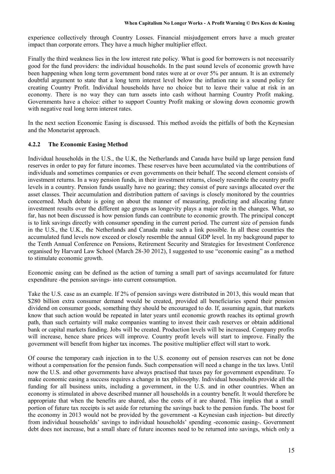experience collectively through Country Losses. Financial misjudgement errors have a much greater impact than corporate errors. They have a much higher multiplier effect.

Finally the third weakness lies in the low interest rate policy. What is good for borrowers is not necessarily good for the fund providers: the individual households. In the past sound levels of economic growth have been happening when long term government bond rates were at or over 5% per annum. It is an extremely doubtful argument to state that a long term interest level below the inflation rate is a sound policy for creating Country Profit. Individual households have no choice but to leave their value at risk in an economy. There is no way they can turn assets into cash without harming Country Profit making. Governments have a choice: either to support Country Profit making or slowing down economic growth with negative real long term interest rates.

In the next section Economic Easing is discussed. This method avoids the pitfalls of both the Keynesian and the Monetarist approach.

### **4.2.2 The Economic Easing Method**

Individual households in the U.S., the U.K, the Netherlands and Canada have build up large pension fund reserves in order to pay for future incomes. These reserves have been accumulated via the contributions of individuals and sometimes companies or even governments on their behalf. The second element consists of investment returns. In a way pension funds, in their investment returns, closely resemble the country profit levels in a country. Pension funds usually have no gearing; they consist of pure savings allocated over the asset classes. Their accumulation and distribution pattern of savings is closely monitored by the countries concerned. Much debate is going on about the manner of measuring, predicting and allocating future investment results over the different age groups as longevity plays a major role in the changes. What, so far, has not been discussed is how pension funds can contribute to economic growth. The principal concept is to link savings directly with consumer spending in the current period. The current size of pension funds in the U.S., the U.K., the Netherlands and Canada make such a link possible. In all these countries the accumulated fund levels now exceed or closely resemble the annual GDP level. In my background paper to the Tenth Annual Conference on Pensions, Retirement Security and Strategies for Investment Conference organised by Harvard Law School (March 28-30 2012), I suggested to use "economic easing" as a method to stimulate economic growth.

Economic easing can be defined as the action of turning a small part of savings accumulated for future expenditure -the pension savings- into current consumption.

Take the U.S. case as an example. If 2% of pension savings were distributed in 2013, this would mean that \$280 billion extra consumer demand would be created, provided all beneficiaries spend their pension dividend on consumer goods, something they should be encouraged to do. If, assuming again, that markets know that such action would be repeated in later years until economic growth reaches its optimal growth path, than such certainty will make companies wanting to invest their cash reserves or obtain additional bank or capital markets funding. Jobs will be created. Production levels will be increased. Company profits will increase, hence share prices will improve. Country profit levels will start to improve. Finally the government will benefit from higher tax incomes. The positive multiplier effect will start to work.

Of course the temporary cash injection in to the U.S. economy out of pension reserves can not be done without a compensation for the pension funds. Such compensation will need a change in the tax laws. Until now the U.S. and other governments have always practised that taxes pay for government expenditure. To make economic easing a success requires a change in tax philosophy. Individual households provide all the funding for all business units, including a government, in the U.S. and in other countries. When an economy is stimulated in above described manner all households in a country benefit. It would therefore be appropriate that when the benefits are shared, also the costs of it are shared. This implies that a small portion of future tax receipts is set aside for returning the savings back to the pension funds. The boost for the economy in 2013 would not be provided by the government -a Keynesian cash injection- but directly from individual households' savings to individual households' spending -economic easing-. Government debt does not increase, but a small share of future incomes need to be returned into savings, which only a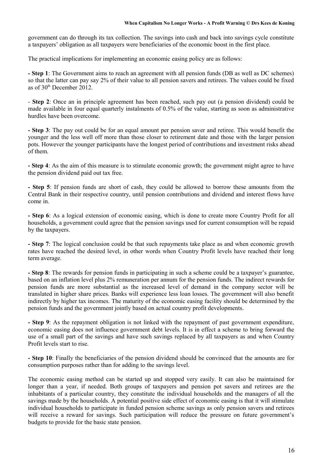#### **When Capitalism No Longer Works - A Profit Warning © Drs Kees de Koning**

government can do through its tax collection. The savings into cash and back into savings cycle constitute a taxpayers' obligation as all taxpayers were beneficiaries of the economic boost in the first place.

The practical implications for implementing an economic easing policy are as follows:

**- Step 1**: The Government aims to reach an agreement with all pension funds (DB as well as DC schemes) so that the latter can pay say 2% of their value to all pension savers and retirees. The values could be fixed as of 30th December 2012.

- **Step 2**: Once an in principle agreement has been reached, such pay out (a pension dividend) could be made available in four equal quarterly instalments of 0.5% of the value, starting as soon as administrative hurdles have been overcome.

**- Step 3**: The pay out could be for an equal amount per pension saver and retiree. This would benefit the younger and the less well off more than those closer to retirement date and those with the larger pension pots. However the younger participants have the longest period of contributions and investment risks ahead of them.

**- Step 4**: As the aim of this measure is to stimulate economic growth; the government might agree to have the pension dividend paid out tax free.

**- Step 5**: If pension funds are short of cash, they could be allowed to borrow these amounts from the Central Bank in their respective country, until pension contributions and dividend and interest flows have come in.

**- Step 6**: As a logical extension of economic easing, which is done to create more Country Profit for all households, a government could agree that the pension savings used for current consumption will be repaid by the taxpayers.

**- Step 7**: The logical conclusion could be that such repayments take place as and when economic growth rates have reached the desired level, in other words when Country Profit levels have reached their long term average.

**- Step 8**: The rewards for pension funds in participating in such a scheme could be a taxpayer's guarantee, based on an inflation level plus 2% remuneration per annum for the pension funds. The indirect rewards for pension funds are more substantial as the increased level of demand in the company sector will be translated in higher share prices. Banks will experience less loan losses. The government will also benefit indirectly by higher tax incomes. The maturity of the economic easing facility should be determined by the pension funds and the government jointly based on actual country profit developments.

**- Step 9**: As the repayment obligation is not linked with the repayment of past government expenditure, economic easing does not influence government debt levels. It is in effect a scheme to bring forward the use of a small part of the savings and have such savings replaced by all taxpayers as and when Country Profit levels start to rise.

**- Step 10**: Finally the beneficiaries of the pension dividend should be convinced that the amounts are for consumption purposes rather than for adding to the savings level.

The economic easing method can be started up and stopped very easily. It can also be maintained for longer than a year, if needed. Both groups of taxpayers and pension pot savers and retirees are the inhabitants of a particular country, they constitute the individual households and the managers of all the savings made by the households. A potential positive side effect of economic easing is that it will stimulate individual households to participate in funded pension scheme savings as only pension savers and retirees will receive a reward for savings. Such participation will reduce the pressure on future government's budgets to provide for the basic state pension.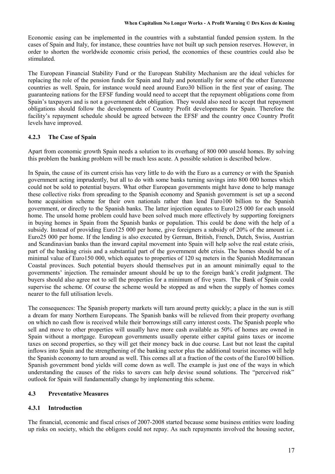Economic easing can be implemented in the countries with a substantial funded pension system. In the cases of Spain and Italy, for instance, these countries have not built up such pension reserves. However, in order to shorten the worldwide economic crisis period, the economies of these countries could also be stimulated.

The European Financial Stability Fund or the European Stability Mechanism are the ideal vehicles for replacing the role of the pension funds for Spain and Italy and potentially for some of the other Eurozone countries as well. Spain, for instance would need around Euro30 billion in the first year of easing. The guaranteeing nations for the EFSF funding would need to accept that the repayment obligations come from Spain's taxpayers and is not a government debt obligation. They would also need to accept that repayment obligations should follow the developments of Country Profit developments for Spain. Therefore the facility's repayment schedule should be agreed between the EFSF and the country once Country Profit levels have improved.

## **4.2.3 The Case of Spain**

Apart from economic growth Spain needs a solution to its overhang of 800 000 unsold homes. By solving this problem the banking problem will be much less acute. A possible solution is described below.

In Spain, the cause of its current crisis has very little to do with the Euro as a currency or with the Spanish government acting imprudently, but all to do with some banks turning savings into 800 000 homes which could not be sold to potential buyers. What other European governments might have done to help manage these collective risks from spreading to the Spanish economy and Spanish government is set up a second home acquisition scheme for their own nationals rather than lend Euro100 billion to the Spanish government, or directly to the Spanish banks. The latter injection equates to Euro125 000 for each unsold home. The unsold home problem could have been solved much more effectively by supporting foreigners in buying homes in Spain from the Spanish banks or population. This could be done with the help of a subsidy. Instead of providing Euro125 000 per home, give foreigners a subsidy of 20% of the amount i.e. Euro25 000 per home. If the lending is also executed by German, British, French, Dutch, Swiss, Austrian and Scandinavian banks than the inward capital movement into Spain will help solve the real estate crisis, part of the banking crisis and a substantial part of the government debt crisis. The homes should be of a minimal value of Euro150 000, which equates to properties of 120 sq meters in the Spanish Mediterranean Coastal provinces. Such potential buyers should themselves put in an amount minimally equal to the governments' injection. The remainder amount should be up to the foreign bank's credit judgment. The buyers should also agree not to sell the properties for a minimum of five years. The Bank of Spain could supervise the scheme. Of course the scheme would be stopped as and when the supply of homes comes nearer to the full utilisation levels.

The consequences: The Spanish property markets will turn around pretty quickly; a place in the sun is still a dream for many Northern Europeans. The Spanish banks will be relieved from their property overhang on which no cash flow is received while their borrowings still carry interest costs. The Spanish people who sell and move to other properties will usually have more cash available as 50% of homes are owned in Spain without a mortgage. European governments usually operate either capital gains taxes or income taxes on second properties, so they will get their money back in due course. Last but not least the capital inflows into Spain and the strengthening of the banking sector plus the additional tourist incomes will help the Spanish economy to turn around as well. This comes all at a fraction of the costs of the Euro100 billion. Spanish government bond yields will come down as well. The example is just one of the ways in which understanding the causes of the risks to savers can help devise sound solutions. The "perceived risk" outlook for Spain will fundamentally change by implementing this scheme.

## **4.3 Preventative Measures**

## **4.3.1 Introduction**

The financial, economic and fiscal crises of 2007-2008 started because some business entities were loading up risks on society, which the obligors could not repay. As such repayments involved the housing sector,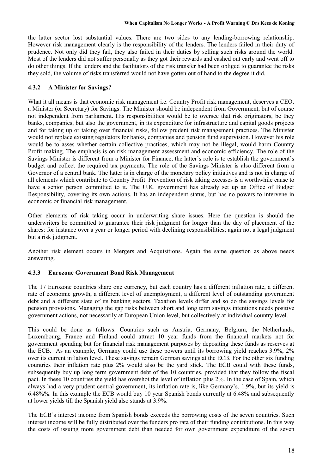the latter sector lost substantial values. There are two sides to any lending-borrowing relationship. However risk management clearly is the responsibility of the lenders. The lenders failed in their duty of prudence. Not only did they fail, they also failed in their duties by selling such risks around the world. Most of the lenders did not suffer personally as they got their rewards and cashed out early and went off to do other things. If the lenders and the facilitators of the risk transfer had been obliged to guarantee the risks they sold, the volume of risks transferred would not have gotten out of hand to the degree it did.

## **4.3.2 A Minister for Savings?**

What it all means is that economic risk management i.e. Country Profit risk management, deserves a CEO, a Minister (or Secretary) for Savings. The Minister should be independent from Government, but of course not independent from parliament. His responsibilities would be to oversee that risk originators, be they banks, companies, but also the government, in its expenditure for infrastructure and capital goods projects and for taking up or taking over financial risks, follow prudent risk management practices. The Minister would not replace existing regulators for banks, companies and pension fund supervision. However his role would be to asses whether certain collective practices, which may not be illegal, would harm Country Profit making. The emphasis is on risk management assessment and economic efficiency. The role of the Savings Minister is different from a Minister for Finance, the latter's role is to establish the government's budget and collect the required tax payments. The role of the Savings Minister is also different from a Governor of a central bank. The latter is in charge of the monetary policy initiatives and is not in charge of all elements which contribute to Country Profit. Prevention of risk taking excesses is a worthwhile cause to have a senior person committed to it. The U.K. government has already set up an Office of Budget Responsibility, covering its own actions. It has an independent status, but has no powers to intervene in economic or financial risk management.

Other elements of risk taking occur in underwriting share issues. Here the question is should the underwriters be committed to guarantee their risk judgment for longer than the day of placement of the shares: for instance over a year or longer period with declining responsibilities; again not a legal judgment but a risk judgment.

Another risk element occurs in Mergers and Acquisitions. Again the same question as above needs answering.

#### **4.3.3 Eurozone Government Bond Risk Management**

The 17 Eurozone countries share one currency, but each country has a different inflation rate, a different rate of economic growth, a different level of unemployment, a different level of outstanding government debt and a different state of its banking sectors. Taxation levels differ and so do the savings levels for pension provisions. Managing the gap risks between short and long term savings intentions needs positive government actions, not necessarily at European Union level, but collectively at individual country level.

This could be done as follows: Countries such as Austria, Germany, Belgium, the Netherlands, Luxembourg, France and Finland could attract 10 year funds from the financial markets not for government spending but for financial risk management purposes by depositing these funds as reserves at the ECB. As an example, Germany could use these powers until its borrowing yield reaches 3.9%, 2% over its current inflation level. These savings remain German savings at the ECB. For the other six funding countries their inflation rate plus 2% would also be the yard stick. The ECB could with these funds, subsequently buy up long term government debt of the 10 countries, provided that they follow the fiscal pact. In these 10 countries the yield has overshot the level of inflation plus 2%. In the case of Spain, which always had a very prudent central government, its inflation rate is, like Germany's, 1.9%, but its yield is 6.48%%. In this example the ECB would buy 10 year Spanish bonds currently at 6.48% and subsequently at lower yields till the Spanish yield also stands at 3.9%.

The ECB's interest income from Spanish bonds exceeds the borrowing costs of the seven countries. Such interest income will be fully distributed over the funders pro rata of their funding contributions. In this way the costs of issuing more government debt than needed for own government expenditure of the seven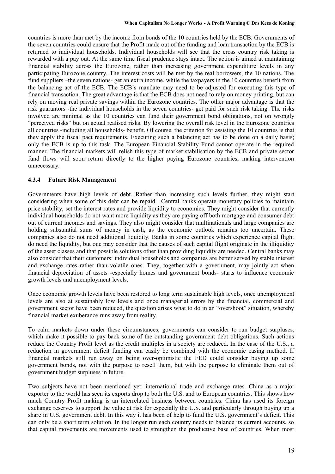countries is more than met by the income from bonds of the 10 countries held by the ECB. Governments of the seven countries could ensure that the Profit made out of the funding and loan transaction by the ECB is returned to individual households. Individual households will see that the cross country risk taking is rewarded with a pay out. At the same time fiscal prudence stays intact. The action is aimed at maintaining financial stability across the Eurozone, rather than increasing government expenditure levels in any participating Eurozone country. The interest costs will be met by the real borrowers, the 10 nations. The fund suppliers –the seven nations- get an extra income, while the taxpayers in the 10 countries benefit from the balancing act of the ECB. The ECB's mandate may need to be adjusted for executing this type of financial transaction. The great advantage is that the ECB does not need to rely on money printing, but can rely on moving real private savings within the Eurozone countries. The other major advantage is that the risk guarantors -the individual households in the seven countries- get paid for such risk taking. The risks involved are minimal as the 10 countries can fund their government bond obligations, not on wrongly "perceived risks" but on actual realised risks. By lowering the overall risk level in the Eurozone countries all countries -including all households- benefit. Of course, the criterion for assisting the 10 countries is that they apply the fiscal pact requirements. Executing such a balancing act has to be done on a daily basis; only the ECB is up to this task. The European Financial Stability Fund cannot operate in the required manner. The financial markets will relish this type of market stabilisation by the ECB and private sector fund flows will soon return directly to the higher paying Eurozone countries, making intervention unnecessary.

### **4.3.4 Future Risk Management**

Governments have high levels of debt. Rather than increasing such levels further, they might start considering when some of this debt can be repaid. Central banks operate monetary policies to maintain price stability, set the interest rates and provide liquidity to economies. They might consider that currently individual households do not want more liquidity as they are paying off both mortgage and consumer debt out of current incomes and savings. They also might consider that multinationals and large companies are holding substantial sums of money in cash, as the economic outlook remains too uncertain. These companies also do not need additional liquidity. Banks in some countries which experience capital flight do need the liquidity, but one may consider that the causes of such capital flight originate in the illiquidity of the asset classes and that possible solutions other than providing liquidity are needed. Central banks may also consider that their customers: individual households and companies are better served by stable interest and exchange rates rather than volatile ones. They, together with a government, may jointly act when financial depreciation of assets -especially homes and government bonds- starts to influence economic growth levels and unemployment levels.

Once economic growth levels have been restored to long term sustainable high levels, once unemployment levels are also at sustainably low levels and once managerial errors by the financial, commercial and government sector have been reduced, the question arises what to do in an "overshoot" situation, whereby financial market exuberance runs away from reality.

To calm markets down under these circumstances, governments can consider to run budget surpluses, which make it possible to pay back some of the outstanding government debt obligations. Such actions reduce the Country Profit level as the credit multiples in a society are reduced. In the case of the U.S., a reduction in government deficit funding can easily be combined with the economic easing method. If financial markets still run away on being over-optimistic the FED could consider buying up some government bonds, not with the purpose to resell them, but with the purpose to eliminate them out of government budget surpluses in future.

Two subjects have not been mentioned yet: international trade and exchange rates. China as a major exporter to the world has seen its exports drop to both the U.S. and to European countries. This shows how much Country Profit making is an interrelated business between countries. China has used its foreign exchange reserves to support the value at risk for especially the U.S. and particularly through buying up a share in U.S. government debt. In this way it has been of help to fund the U.S. government's deficit. This can only be a short term solution. In the longer run each country needs to balance its current accounts, so that capital movements are movements used to strengthen the productive base of countries. When most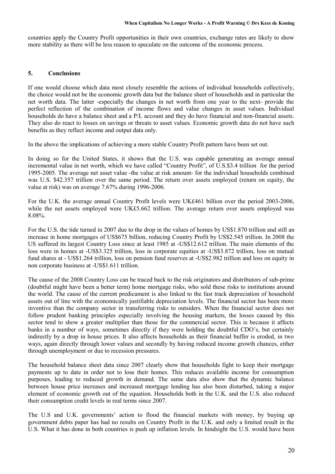countries apply the Country Profit opportunities in their own countries, exchange rates are likely to show more stability as there will be less reason to speculate on the outcome of the economic process.

### **5. Conclusions**

If one would choose which data most closely resemble the actions of individual households collectively, the choice would not be the economic growth data but the balance sheet of households and in particular the net worth data. The latter -especially the changes in net worth from one year to the next- provide the perfect reflection of the combination of income flows and value changes in asset values. Individual households do have a balance sheet and a P/L account and they do have financial and non-financial assets. They also do react to losses on savings or threats to asset values. Economic growth data do not have such benefits as they reflect income and output data only.

In the above the implications of achieving a more stable Country Profit pattern have been set out.

In doing so for the United States, it shows that the U.S. was capable generating an average annual incremental value in net worth, which we have called "Country Profit", of U.S.\$3.4 trillion for the period 1995-2005. The average net asset value -the value at risk amount- for the individual households combined was U.S. \$42.357 trillion over the same period. The return over assets employed (return on equity, the value at risk) was on average 7.67% during 1996-2006.

For the U.K. the average annual Country Profit levels were UK£461 billion over the period 2003-2006, while the net assets employed were UK£5.662 trillion. The average return over assets employed was 8.08%.

For the U.S. the tide turned in 2007 due to the drop in the values of homes by US\$1.870 trillion and still an increase in home mortgages of US\$675 billion, reducing Country Profit by US\$2.545 trillion. In 2008 the US suffered its largest Country Loss since at least 1985 at -US\$12.612 trillion. The main elements of the loss were in homes at -US\$3.325 trillion, loss in corporate equities at -US\$3.872 trillion, loss on mutual fund shares at - US\$1.264 trillion, loss on pension fund reserves at -US\$2.982 trillion and loss on equity in non corporate business at -US\$1.611 trillion.

The cause of the 2008 Country Loss can be traced back to the risk originators and distributors of sub-prime (doubtful might have been a better term) home mortgage risks, who sold these risks to institutions around the world. The cause of the current predicament is also linked to the fast track depreciation of household assets out of line with the economically justifiable depreciation levels. The financial sector has been more inventive than the company sector in transferring risks to outsiders. When the financial sector does not follow prudent banking principles especially involving the housing markets, the losses caused by this sector tend to show a greater multiplier than those for the commercial sector. This is because it affects banks in a number of ways, sometimes directly if they were holding the doubtful CDO's, but certainly indirectly by a drop in house prices. It also affects households as their financial buffer is eroded, in two ways, again directly through lower values and secondly by having reduced income growth chances, either through unemployment or due to recession pressures.

The household balance sheet data since 2007 clearly show that households fight to keep their mortgage payments up to date in order not to lose their homes. This reduces available income for consumption purposes, leading to reduced growth in demand. The same data also show that the dynamic balance between house price increases and increased mortgage lending has also been disturbed, taking a major element of economic growth out of the equation. Households both in the U.K. and the U.S. also reduced their consumption credit levels in real terms since 2007.

The U.S and U.K. governments' action to flood the financial markets with money, by buying up government debts paper has had no results on Country Profit in the U.K. and only a limited result in the U.S. What it has done in both countries is push up inflation levels. In hindsight the U.S. would have been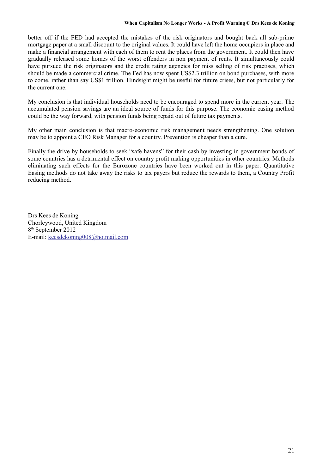better off if the FED had accepted the mistakes of the risk originators and bought back all sub-prime mortgage paper at a small discount to the original values. It could have left the home occupiers in place and make a financial arrangement with each of them to rent the places from the government. It could then have gradually released some homes of the worst offenders in non payment of rents. It simultaneously could have pursued the risk originators and the credit rating agencies for miss selling of risk practises, which should be made a commercial crime. The Fed has now spent US\$2.3 trillion on bond purchases, with more to come, rather than say US\$1 trillion. Hindsight might be useful for future crises, but not particularly for the current one.

My conclusion is that individual households need to be encouraged to spend more in the current year. The accumulated pension savings are an ideal source of funds for this purpose. The economic easing method could be the way forward, with pension funds being repaid out of future tax payments.

My other main conclusion is that macro-economic risk management needs strengthening. One solution may be to appoint a CEO Risk Manager for a country. Prevention is cheaper than a cure.

Finally the drive by households to seek "safe havens" for their cash by investing in government bonds of some countries has a detrimental effect on country profit making opportunities in other countries. Methods eliminating such effects for the Eurozone countries have been worked out in this paper. Quantitative Easing methods do not take away the risks to tax payers but reduce the rewards to them, a Country Profit reducing method.

Drs Kees de Koning Chorleywood, United Kingdom 8 th September 2012 E-mail: keesdekoning008@hotmail.com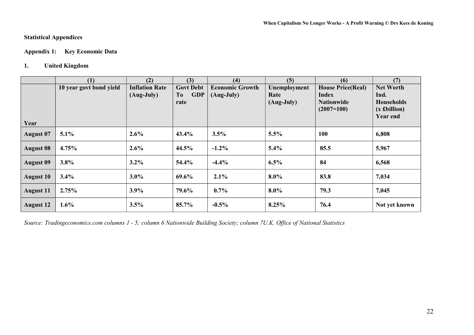## **Statistical Appendices**

# **Appendix 1: Key Economic Data**

# **1. United Kingdom**

|                  | (1)                     | (2)                   | (3)              | (4)                    | (5)          | (6)                      | (7)               |
|------------------|-------------------------|-----------------------|------------------|------------------------|--------------|--------------------------|-------------------|
|                  | 10 year govt bond yield | <b>Inflation Rate</b> | <b>Govt Debt</b> | <b>Economic Growth</b> | Unemployment | <b>House Price(Real)</b> | <b>Net Worth</b>  |
|                  |                         | $(Aug-July)$          | <b>GDP</b><br>To | (Aug-July)             | Rate         | <b>Index</b>             | Ind.              |
|                  |                         |                       | rate             |                        | $(Aug-July)$ | <b>Nationwide</b>        | <b>Households</b> |
|                  |                         |                       |                  |                        |              | $(2007=100)$             | $(x$ £billion $)$ |
| Year             |                         |                       |                  |                        |              |                          | <b>Year end</b>   |
|                  |                         |                       |                  |                        |              |                          |                   |
| <b>August 07</b> | $5.1\%$                 | 2.6%                  | 43.4%            | 3.5%                   | 5.5%         | 100                      | 6,808             |
| <b>August 08</b> | 4.75%                   | 2.6%                  | 44.5%            | $-1.2\%$               | 5.4%         | 85.5                     | 5,967             |
|                  |                         |                       |                  |                        |              |                          |                   |
| <b>August 09</b> | 3.8%                    | $3.2\%$               | 54.4%            | $-4.4%$                | 6.5%         | 84                       | 6,568             |
|                  |                         |                       |                  |                        |              |                          |                   |
| <b>August 10</b> | 3.4%                    | 3.0%                  | 69.6%            | 2.1%                   | $8.0\%$      | 83.8                     | 7,034             |
| <b>August 11</b> | 2.75%                   | 3.9%                  | 79.6%            | $0.7\%$                | $8.0\%$      | 79.3                     | 7,045             |
|                  |                         |                       |                  |                        |              |                          |                   |
| <b>August 12</b> | 1.6%                    | 3.5%                  | 85.7%            | $-0.5%$                | 8.25%        | 76.4                     | Not yet known     |

*Source: Tradingeconomics.com columns 1 - 5; column 6 Nationwide Building Society; column 7U.K. Office of National Statistics*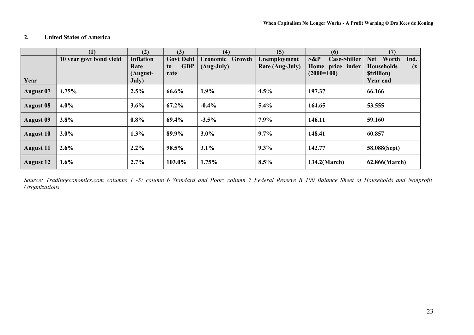### **2. United States of America**

|                  | (1)                     | (2)<br>(3)<br>(4) |                   | (5)<br>(6)             |                 | (7)                        |                                   |
|------------------|-------------------------|-------------------|-------------------|------------------------|-----------------|----------------------------|-----------------------------------|
|                  | 10 year govt bond yield | <b>Inflation</b>  | <b>Govt Debt</b>  | <b>Economic Growth</b> | Unemployment    | S&P<br><b>Case-Shiller</b> | Worth<br>Ind.<br><b>Net</b>       |
|                  |                         | Rate              | <b>GDP</b><br>to. | $(Aug-July)$           | Rate (Aug-July) | Home price index           | <b>Households</b><br>$\mathbf{X}$ |
|                  |                         | (August-          | rate              |                        |                 | $(2000=100)$               | <b>Strillion</b> )                |
| Year             |                         | July)             |                   |                        |                 |                            | <b>Year end</b>                   |
| <b>August 07</b> | 4.75%                   | 2.5%              | 66.6%             | 1.9%                   | 4.5%            | 197.37                     | 66.166                            |
| <b>August 08</b> | $4.0\%$                 | 3.6%              | $67.2\%$          | $-0.4\%$               | 5.4%            | 164.65                     | 53.555                            |
| <b>August 09</b> | 3.8%                    | $0.8\%$           | 69.4%             | $-3.5%$                | 7.9%            | 146.11                     | 59.160                            |
| <b>August 10</b> | $3.0\%$                 | 1.3%              | 89.9%             | $3.0\%$                | 9.7%            | 148.41                     | 60.857                            |
| <b>August 11</b> | $2.6\%$                 | $2.2\%$           | 98.5%             | 3.1%                   | 9.3%            | 142.77                     | 58.088(Sept)                      |
| <b>August 12</b> | $1.6\%$                 | 2.7%              | 103.0%            | 1.75%                  | 8.5%            | $134.2$ (March)            | 62.866(March)                     |

*Source: Tradingeconomics.com columns 1 -5: column 6 Standard and Poor; column 7 Federal Reserve B 100 Balance Sheet of Households and Nonprofit Organizations*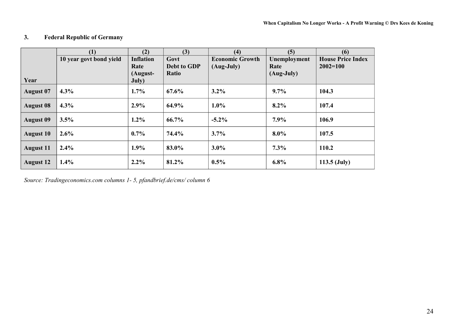### **3. Federal Republic of Germany**

|                  | (1)                     | (2)              | (3)         | (4)                    | (5)          | (6)                      |
|------------------|-------------------------|------------------|-------------|------------------------|--------------|--------------------------|
|                  | 10 year govt bond yield | <b>Inflation</b> | Govt        | <b>Economic Growth</b> | Unemployment | <b>House Price Index</b> |
|                  |                         | Rate             | Debt to GDP | $(Aug-July)$           | Rate         | $2002 = 100$             |
|                  |                         | (August-         | Ratio       |                        | $(Aug-July)$ |                          |
| Year             |                         | July)            |             |                        |              |                          |
| August 07        | 4.3%                    | 1.7%             | $67.6\%$    | $3.2\%$                | $9.7\%$      | 104.3                    |
| <b>August 08</b> | 4.3%                    | 2.9%             | 64.9%       | $1.0\%$                | $8.2\%$      | 107.4                    |
| <b>August 09</b> | 3.5%                    | $1.2\%$          | 66.7%       | $-5.2\%$               | 7.9%         | 106.9                    |
| <b>August 10</b> | 2.6%                    | $0.7\%$          | 74.4%       | 3.7%                   | $8.0\%$      | 107.5                    |
| <b>August 11</b> | $2.4\%$                 | $1.9\%$          | 83.0%       | $3.0\%$                | 7.3%         | 110.2                    |
| <b>August 12</b> | 1.4%                    | $2.2\%$          | 81.2%       | $0.5\%$                | $6.8\%$      | $113.5$ (July)           |

*Source: Tradingeconomics.com columns 1- 5, pfandbrief.de/cms/ column 6*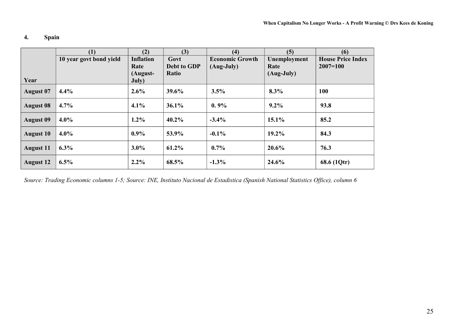## **4. Spain**

|                  | (1)                     | (2)              | (3)                | (4)                    | (5)          | (6)                      |
|------------------|-------------------------|------------------|--------------------|------------------------|--------------|--------------------------|
|                  | 10 year govt bond yield | <b>Inflation</b> | Govt               | <b>Economic Growth</b> | Unemployment | <b>House Price Index</b> |
|                  |                         | Rate             | <b>Debt to GDP</b> | $(Aug-July)$           | Rate         | $2007 = 100$             |
|                  |                         | (August-         | Ratio              |                        | (Aug-July)   |                          |
| Year             |                         | July)            |                    |                        |              |                          |
| <b>August 07</b> | 4.4%                    | $2.6\%$          | 39.6%              | 3.5%                   | 8.3%         | 100                      |
| <b>August 08</b> | 4.7%                    | 4.1%             | 36.1%              | 0.9%                   | $9.2\%$      | 93.8                     |
| <b>August 09</b> | $4.0\%$                 | $1.2\%$          | $40.2\%$           | $-3.4%$                | 15.1%        | 85.2                     |
| <b>August 10</b> | $4.0\%$                 | $0.9\%$          | 53.9%              | $-0.1\%$               | 19.2%        | 84.3                     |
| <b>August 11</b> | $6.3\%$                 | $3.0\%$          | $61.2\%$           | $0.7\%$                | 20.6%        | 76.3                     |
| <b>August 12</b> | 6.5%                    | $2.2\%$          | 68.5%              | $-1.3\%$               | 24.6%        | 68.6 (1Qtr)              |

*Source: Trading Economic columns 1-5; Source: INE, Instituto Nacional de Estadistica (Spanish National Statistics Office), column 6*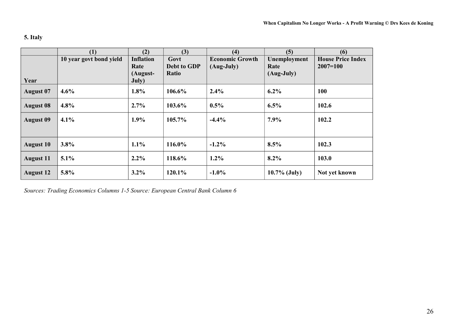# **5. Italy**

|                  | (1)                     | (2)              | (3)         | (4)                    | (5)             | (6)                      |
|------------------|-------------------------|------------------|-------------|------------------------|-----------------|--------------------------|
|                  | 10 year govt bond yield | <b>Inflation</b> | Govt        | <b>Economic Growth</b> | Unemployment    | <b>House Price Index</b> |
|                  |                         | Rate             | Debt to GDP | $(Aug-July)$           | Rate            | $2007 = 100$             |
|                  |                         | (August-         | Ratio       |                        | (Aug-July)      |                          |
| Year             |                         | July)            |             |                        |                 |                          |
| <b>August 07</b> | 4.6%                    | 1.8%             | 106.6%      | 2.4%                   | $6.2\%$         | <b>100</b>               |
| <b>August 08</b> | 4.8%                    | 2.7%             | 103.6%      | 0.5%                   | 6.5%            | 102.6                    |
| <b>August 09</b> | 4.1%                    | $1.9\%$          | 105.7%      | $-4.4%$                | $7.9\%$         | 102.2                    |
|                  |                         |                  |             |                        |                 |                          |
| <b>August 10</b> | 3.8%                    | $1.1\%$          | 116.0%      | $-1.2%$                | 8.5%            | 102.3                    |
| <b>August 11</b> | $5.1\%$                 | $2.2\%$          | 118.6%      | $1.2\%$                | $8.2\%$         | 103.0                    |
| <b>August 12</b> | 5.8%                    | $3.2\%$          | 120.1%      | $-1.0%$                | $10.7\%$ (July) | Not yet known            |

*Sources: Trading Economics Columns 1-5 Source: European Central Bank Column 6*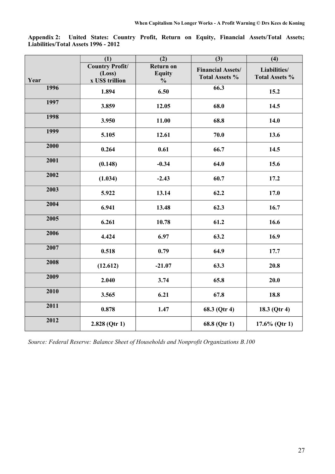|      | (1)                                                 | (2)                                                | (3)                                               | (4)                                   |
|------|-----------------------------------------------------|----------------------------------------------------|---------------------------------------------------|---------------------------------------|
| Year | <b>Country Profit/</b><br>(Loss)<br>x US\$ trillion | <b>Return on</b><br><b>Equity</b><br>$\frac{0}{0}$ | <b>Financial Assets/</b><br><b>Total Assets %</b> | Liabilities/<br><b>Total Assets %</b> |
| 1996 | 1.894                                               | 6.50                                               | 66.3                                              | 15.2                                  |
| 1997 | 3.859                                               | 12.05                                              | 68.0                                              | 14.5                                  |
| 1998 | 3.950                                               | 11.00                                              | 68.8                                              | 14.0                                  |
| 1999 | 5.105                                               | 12.61                                              | 70.0                                              | 13.6                                  |
| 2000 | 0.264                                               | 0.61                                               | 66.7                                              | 14.5                                  |
| 2001 | (0.148)                                             | $-0.34$                                            | 64.0                                              | 15.6                                  |
| 2002 | (1.034)                                             | $-2.43$                                            | 60.7                                              | 17.2                                  |
| 2003 | 5.922                                               | 13.14                                              | 62.2                                              | 17.0                                  |
| 2004 | 6.941                                               | 13.48                                              | 62.3                                              | 16.7                                  |
| 2005 | 6.261                                               | 10.78                                              | 61.2                                              | 16.6                                  |
| 2006 | 4.424                                               | 6.97                                               | 63.2                                              | 16.9                                  |
| 2007 | 0.518                                               | 0.79                                               | 64.9                                              | 17.7                                  |
| 2008 | (12.612)                                            | $-21.07$                                           | 63.3                                              | 20.8                                  |
| 2009 | 2.040                                               | 3.74                                               | 65.8                                              | 20.0                                  |
| 2010 | 3.565                                               | 6.21                                               | 67.8                                              | 18.8                                  |
| 2011 | 0.878                                               | 1.47                                               | 68.3 (Qtr 4)                                      | 18.3 (Qtr 4)                          |
| 2012 | $2.828$ (Qtr 1)                                     |                                                    | 68.8 (Qtr 1)                                      | $17.6\%$ (Qtr 1)                      |

**Appendix 2: United States: Country Profit, Return on Equity, Financial Assets/Total Assets; Liabilities/Total Assets 1996 - 2012**

*Source: Federal Reserve: Balance Sheet of Households and Nonprofit Organizations B.100*